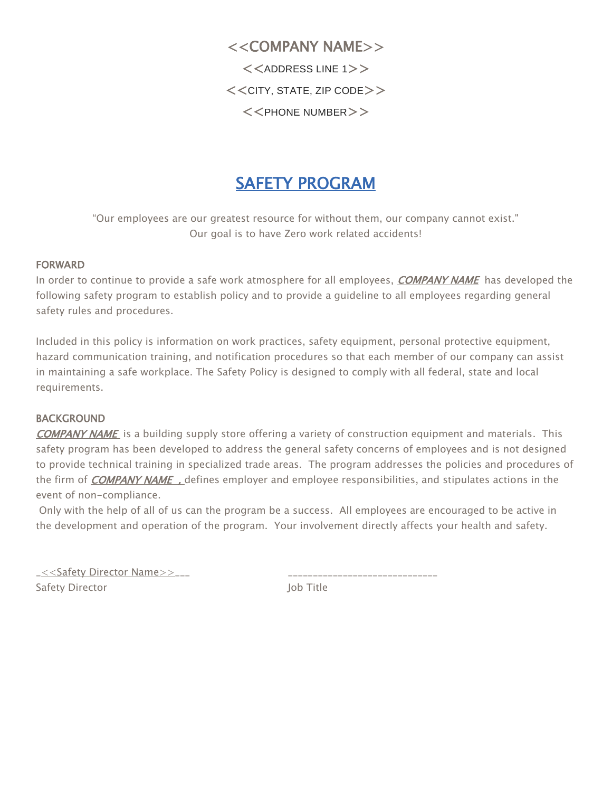<<COMPANY NAME>>  $<<$ ADDRESS LINE 1>>  $<<$ CITY, STATE, ZIP CODE $>>$  $<<$ PHONE NUMBER $>>$ 

# SAFETY PROGRAM

"Our employees are our greatest resource for without them, our company cannot exist." Our goal is to have Zero work related accidents!

#### FORWARD

In order to continue to provide a safe work atmosphere for all employees, *COMPANY NAME* has developed the following safety program to establish policy and to provide a guideline to all employees regarding general safety rules and procedures.

Included in this policy is information on work practices, safety equipment, personal protective equipment, hazard communication training, and notification procedures so that each member of our company can assist in maintaining a safe workplace. The Safety Policy is designed to comply with all federal, state and local requirements.

#### BACKGROUND

COMPANY NAME is a building supply store offering a variety of construction equipment and materials. This safety program has been developed to address the general safety concerns of employees and is not designed to provide technical training in specialized trade areas. The program addresses the policies and procedures of the firm of *COMPANY NAME*, defines employer and employee responsibilities, and stipulates actions in the event of non-compliance.

Only with the help of all of us can the program be a success. All employees are encouraged to be active in the development and operation of the program. Your involvement directly affects your health and safety.

| _< <safety director="" name="">&gt;___</safety> |           |
|-------------------------------------------------|-----------|
| Safety Director                                 | lob Title |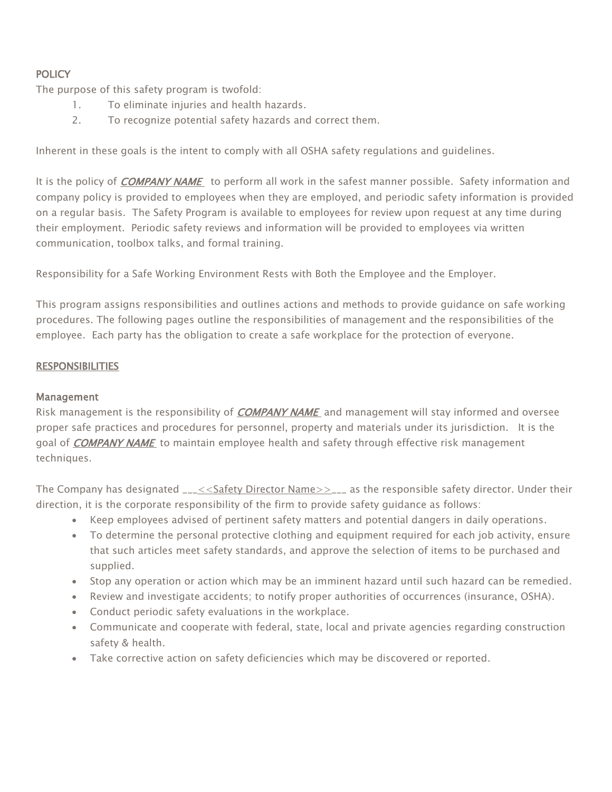# **POLICY**

The purpose of this safety program is twofold:

- 1. To eliminate injuries and health hazards.
- 2. To recognize potential safety hazards and correct them.

Inherent in these goals is the intent to comply with all OSHA safety regulations and guidelines.

It is the policy of *COMPANY NAME* to perform all work in the safest manner possible. Safety information and company policy is provided to employees when they are employed, and periodic safety information is provided on a regular basis. The Safety Program is available to employees for review upon request at any time during their employment. Periodic safety reviews and information will be provided to employees via written communication, toolbox talks, and formal training.

Responsibility for a Safe Working Environment Rests with Both the Employee and the Employer.

This program assigns responsibilities and outlines actions and methods to provide guidance on safe working procedures. The following pages outline the responsibilities of management and the responsibilities of the employee. Each party has the obligation to create a safe workplace for the protection of everyone.

#### **RESPONSIBILITIES**

#### Management

Risk management is the responsibility of *COMPANY NAME* and management will stay informed and oversee proper safe practices and procedures for personnel, property and materials under its jurisdiction. It is the goal of *COMPANY NAME* to maintain employee health and safety through effective risk management techniques.

The Company has designated  $\frac{-<<}\text{Safety Director Name}\geq\frac{-}{-}$  as the responsible safety director. Under their direction, it is the corporate responsibility of the firm to provide safety guidance as follows:

- Keep employees advised of pertinent safety matters and potential dangers in daily operations.
- To determine the personal protective clothing and equipment required for each job activity, ensure that such articles meet safety standards, and approve the selection of items to be purchased and supplied.
- Stop any operation or action which may be an imminent hazard until such hazard can be remedied.
- Review and investigate accidents; to notify proper authorities of occurrences (insurance, OSHA).
- Conduct periodic safety evaluations in the workplace.
- Communicate and cooperate with federal, state, local and private agencies regarding construction safety & health.
- Take corrective action on safety deficiencies which may be discovered or reported.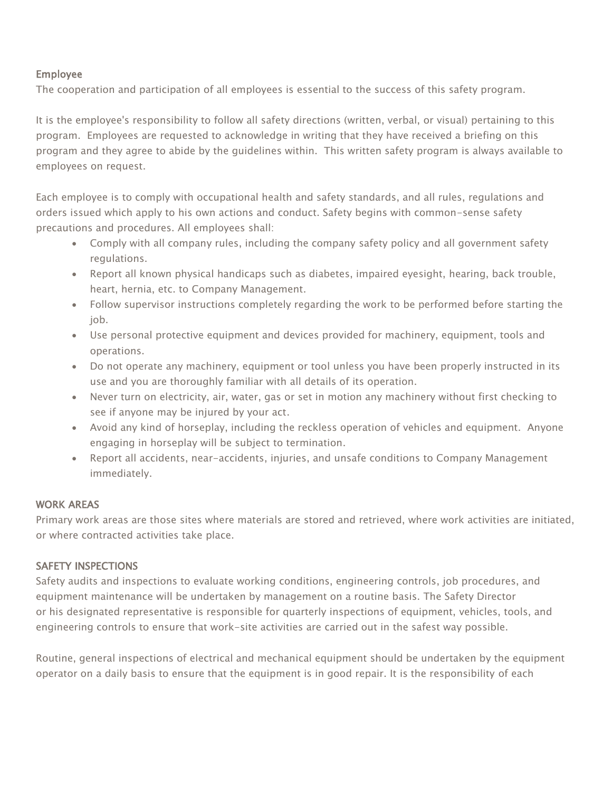#### Employee

The cooperation and participation of all employees is essential to the success of this safety program.

It is the employee's responsibility to follow all safety directions (written, verbal, or visual) pertaining to this program. Employees are requested to acknowledge in writing that they have received a briefing on this program and they agree to abide by the guidelines within. This written safety program is always available to employees on request.

Each employee is to comply with occupational health and safety standards, and all rules, regulations and orders issued which apply to his own actions and conduct. Safety begins with common-sense safety precautions and procedures. All employees shall:

- Comply with all company rules, including the company safety policy and all government safety regulations.
- Report all known physical handicaps such as diabetes, impaired eyesight, hearing, back trouble, heart, hernia, etc. to Company Management.
- Follow supervisor instructions completely regarding the work to be performed before starting the job.
- Use personal protective equipment and devices provided for machinery, equipment, tools and operations.
- Do not operate any machinery, equipment or tool unless you have been properly instructed in its use and you are thoroughly familiar with all details of its operation.
- Never turn on electricity, air, water, gas or set in motion any machinery without first checking to see if anyone may be injured by your act.
- Avoid any kind of horseplay, including the reckless operation of vehicles and equipment. Anyone engaging in horseplay will be subject to termination.
- Report all accidents, near-accidents, injuries, and unsafe conditions to Company Management immediately.

#### WORK AREAS

Primary work areas are those sites where materials are stored and retrieved, where work activities are initiated, or where contracted activities take place.

#### SAFETY INSPECTIONS

Safety audits and inspections to evaluate working conditions, engineering controls, job procedures, and equipment maintenance will be undertaken by management on a routine basis. The Safety Director or his designated representative is responsible for quarterly inspections of equipment, vehicles, tools, and engineering controls to ensure that work-site activities are carried out in the safest way possible.

Routine, general inspections of electrical and mechanical equipment should be undertaken by the equipment operator on a daily basis to ensure that the equipment is in good repair. It is the responsibility of each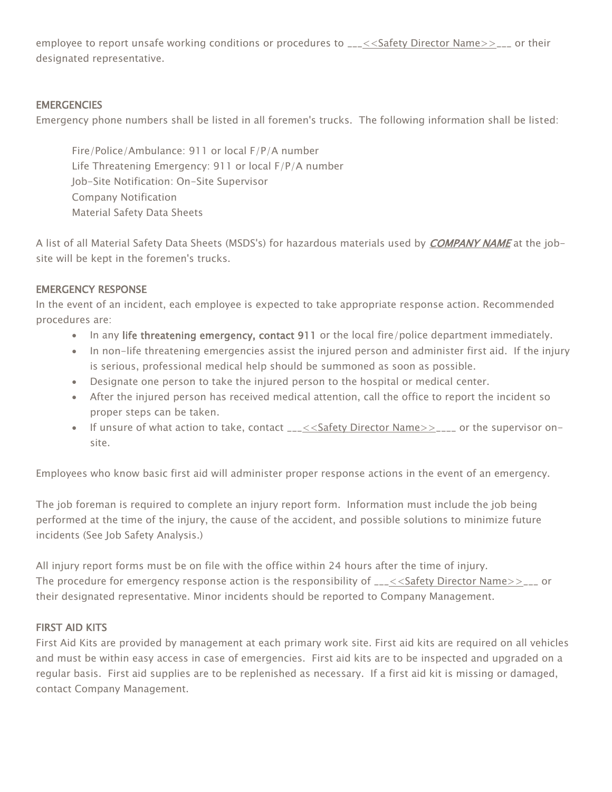employee to report unsafe working conditions or procedures to  $2.2656$  and Director Name >>  $2.25$  or their designated representative.

## **EMERGENCIES**

Emergency phone numbers shall be listed in all foremen's trucks. The following information shall be listed:

Fire/Police/Ambulance: 911 or local F/P/A number Life Threatening Emergency: 911 or local F/P/A number Job-Site Notification: On-Site Supervisor Company Notification Material Safety Data Sheets

A list of all Material Safety Data Sheets (MSDS's) for hazardous materials used by *COMPANY NAME* at the jobsite will be kept in the foremen's trucks.

## EMERGENCY RESPONSE

In the event of an incident, each employee is expected to take appropriate response action. Recommended procedures are:

- In any life threatening emergency, contact 911 or the local fire/police department immediately.
- In non-life threatening emergencies assist the injured person and administer first aid. If the injury is serious, professional medical help should be summoned as soon as possible.
- Designate one person to take the injured person to the hospital or medical center.
- After the injured person has received medical attention, call the office to report the incident so proper steps can be taken.
- If unsure of what action to take, contact  $_{---}$ <<Safety Director Name> $>_{---}$  or the supervisor onsite.

Employees who know basic first aid will administer proper response actions in the event of an emergency.

The job foreman is required to complete an injury report form. Information must include the job being performed at the time of the injury, the cause of the accident, and possible solutions to minimize future incidents (See Job Safety Analysis.)

All injury report forms must be on file with the office within 24 hours after the time of injury. The procedure for emergency response action is the responsibility of \_\_\_<<Safety Director Name>>\_\_\_ or their designated representative. Minor incidents should be reported to Company Management.

# FIRST AID KITS

First Aid Kits are provided by management at each primary work site. First aid kits are required on all vehicles and must be within easy access in case of emergencies. First aid kits are to be inspected and upgraded on a regular basis. First aid supplies are to be replenished as necessary. If a first aid kit is missing or damaged, contact Company Management.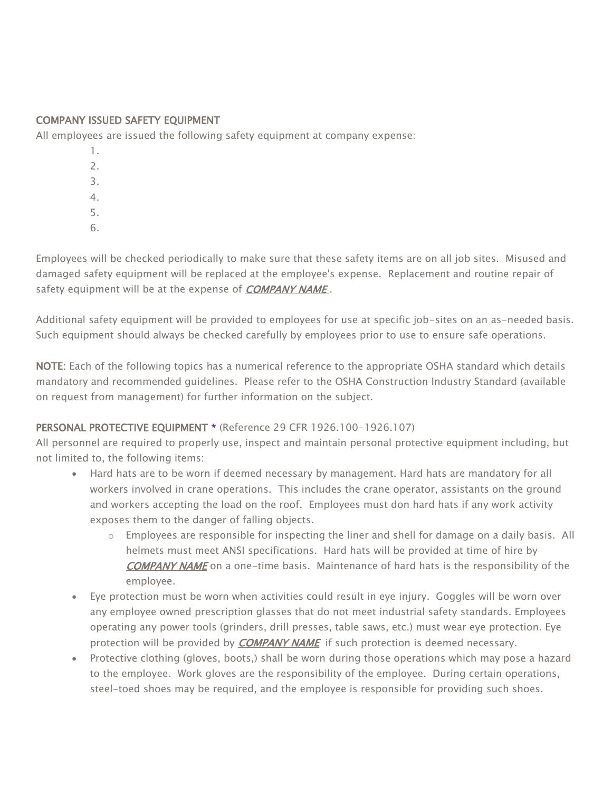## COMPANY ISSUED SAFETY EQUIPMENT

All employees are issued the following safety equipment at company expense:

- 1. 2. 3. 4.
- 5.
- 6.

Employees will be checked periodically to make sure that these safety items are on all job sites. Misused and damaged safety equipment will be replaced at the employee's expense. Replacement and routine repair of safety equipment will be at the expense of **COMPANY NAME**.

Additional safety equipment will be provided to employees for use at specific job-sites on an as-needed basis. Such equipment should always be checked carefully by employees prior to use to ensure safe operations.

NOTE: Each of the following topics has a numerical reference to the appropriate OSHA standard which details mandatory and recommended guidelines. Please refer to the OSHA Construction Industry Standard (available on request from management) for further information on the subject.

# PERSONAL PROTECTIVE EQUIPMENT \* (Reference 29 CFR 1926.100-1926.107)

All personnel are required to properly use, inspect and maintain personal protective equipment including, but not limited to, the following items:

- Hard hats are to be worn if deemed necessary by management. Hard hats are mandatory for all workers involved in crane operations. This includes the crane operator, assistants on the ground and workers accepting the load on the roof. Employees must don hard hats if any work activity exposes them to the danger of falling objects.
	- $\circ$  Employees are responsible for inspecting the liner and shell for damage on a daily basis. All helmets must meet ANSI specifications. Hard hats will be provided at time of hire by COMPANY NAME on a one-time basis. Maintenance of hard hats is the responsibility of the employee.
- Eye protection must be worn when activities could result in eye injury. Goggles will be worn over any employee owned prescription glasses that do not meet industrial safety standards. Employees operating any power tools (grinders, drill presses, table saws, etc.) must wear eye protection. Eye protection will be provided by **COMPANY NAME** if such protection is deemed necessary.
- Protective clothing (gloves, boots,) shall be worn during those operations which may pose a hazard to the employee. Work gloves are the responsibility of the employee. During certain operations, steel-toed shoes may be required, and the employee is responsible for providing such shoes.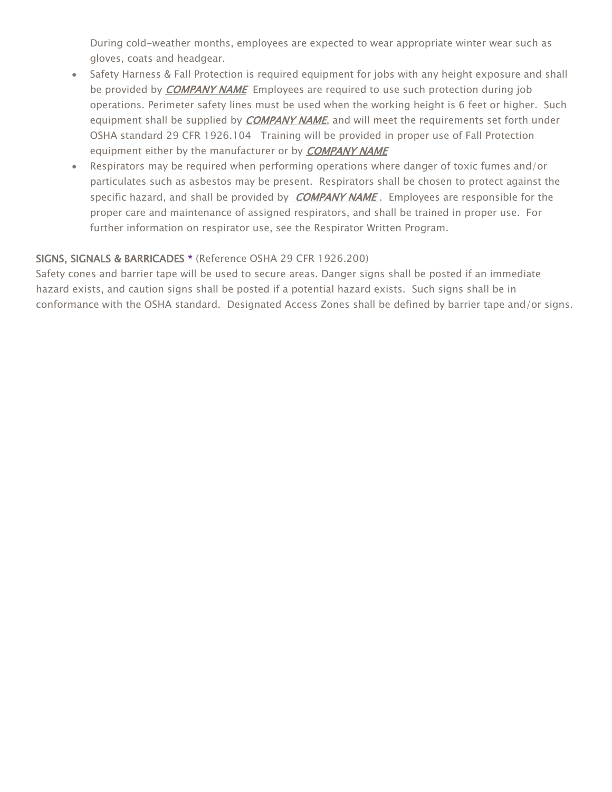During cold-weather months, employees are expected to wear appropriate winter wear such as gloves, coats and headgear.

- Safety Harness & Fall Protection is required equipment for jobs with any height exposure and shall be provided by *COMPANY NAME* Employees are required to use such protection during job operations. Perimeter safety lines must be used when the working height is 6 feet or higher. Such equipment shall be supplied by *COMPANY NAME*, and will meet the requirements set forth under OSHA standard 29 CFR 1926.104 Training will be provided in proper use of Fall Protection equipment either by the manufacturer or by **COMPANY NAME**
- Respirators may be required when performing operations where danger of toxic fumes and/or particulates such as asbestos may be present. Respirators shall be chosen to protect against the specific hazard, and shall be provided by **COMPANY NAME**. Employees are responsible for the proper care and maintenance of assigned respirators, and shall be trained in proper use. For further information on respirator use, see the Respirator Written Program.

# SIGNS, SIGNALS & BARRICADES \* (Reference OSHA 29 CFR 1926.200)

Safety cones and barrier tape will be used to secure areas. Danger signs shall be posted if an immediate hazard exists, and caution signs shall be posted if a potential hazard exists. Such signs shall be in conformance with the OSHA standard. Designated Access Zones shall be defined by barrier tape and/or signs.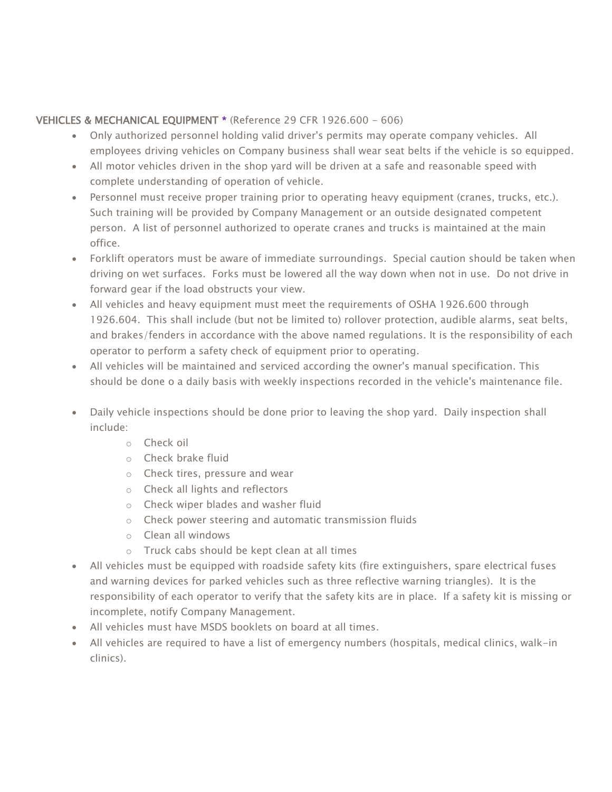## VEHICLES & MECHANICAL EQUIPMENT \* (Reference 29 CFR 1926.600 - 606)

- Only authorized personnel holding valid driver's permits may operate company vehicles. All employees driving vehicles on Company business shall wear seat belts if the vehicle is so equipped.
- All motor vehicles driven in the shop yard will be driven at a safe and reasonable speed with complete understanding of operation of vehicle.
- Personnel must receive proper training prior to operating heavy equipment (cranes, trucks, etc.). Such training will be provided by Company Management or an outside designated competent person. A list of personnel authorized to operate cranes and trucks is maintained at the main office.
- Forklift operators must be aware of immediate surroundings. Special caution should be taken when driving on wet surfaces. Forks must be lowered all the way down when not in use. Do not drive in forward gear if the load obstructs your view.
- All vehicles and heavy equipment must meet the requirements of OSHA 1926.600 through 1926.604. This shall include (but not be limited to) rollover protection, audible alarms, seat belts, and brakes/fenders in accordance with the above named regulations. It is the responsibility of each operator to perform a safety check of equipment prior to operating.
- All vehicles will be maintained and serviced according the owner's manual specification. This should be done o a daily basis with weekly inspections recorded in the vehicle's maintenance file.
- Daily vehicle inspections should be done prior to leaving the shop yard. Daily inspection shall include:
	- o Check oil
	- o Check brake fluid
	- o Check tires, pressure and wear
	- o Check all lights and reflectors
	- o Check wiper blades and washer fluid
	- o Check power steering and automatic transmission fluids
	- o Clean all windows
	- o Truck cabs should be kept clean at all times
- All vehicles must be equipped with roadside safety kits (fire extinguishers, spare electrical fuses and warning devices for parked vehicles such as three reflective warning triangles). It is the responsibility of each operator to verify that the safety kits are in place. If a safety kit is missing or incomplete, notify Company Management.
- All vehicles must have MSDS booklets on board at all times.
- All vehicles are required to have a list of emergency numbers (hospitals, medical clinics, walk-in clinics).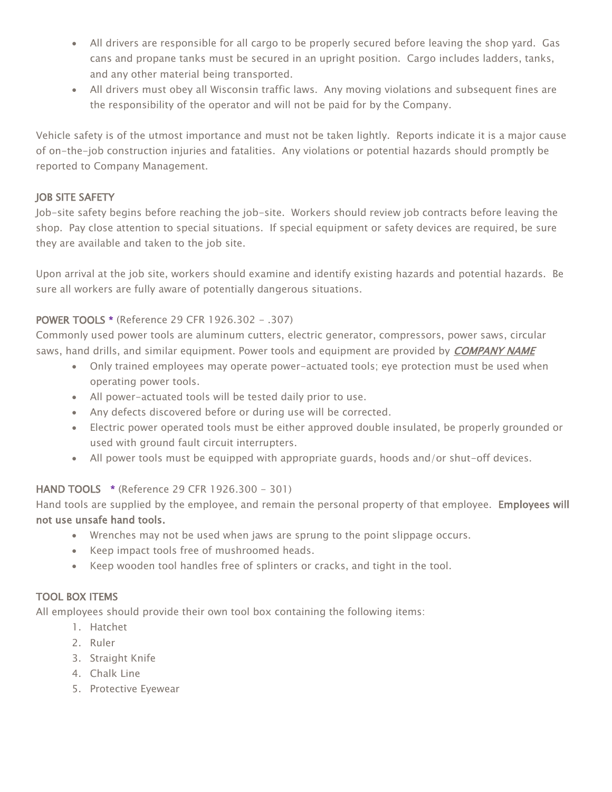- All drivers are responsible for all cargo to be properly secured before leaving the shop yard. Gas cans and propane tanks must be secured in an upright position. Cargo includes ladders, tanks, and any other material being transported.
- All drivers must obey all Wisconsin traffic laws. Any moving violations and subsequent fines are the responsibility of the operator and will not be paid for by the Company.

Vehicle safety is of the utmost importance and must not be taken lightly. Reports indicate it is a major cause of on-the-job construction injuries and fatalities. Any violations or potential hazards should promptly be reported to Company Management.

## JOB SITE SAFETY

Job-site safety begins before reaching the job-site. Workers should review job contracts before leaving the shop. Pay close attention to special situations. If special equipment or safety devices are required, be sure they are available and taken to the job site.

Upon arrival at the job site, workers should examine and identify existing hazards and potential hazards. Be sure all workers are fully aware of potentially dangerous situations.

## POWER TOOLS \* (Reference 29 CFR 1926.302 - .307)

Commonly used power tools are aluminum cutters, electric generator, compressors, power saws, circular saws, hand drills, and similar equipment. Power tools and equipment are provided by *COMPANY NAME* 

- Only trained employees may operate power-actuated tools; eye protection must be used when operating power tools.
- All power-actuated tools will be tested daily prior to use.
- Any defects discovered before or during use will be corrected.
- Electric power operated tools must be either approved double insulated, be properly grounded or used with ground fault circuit interrupters.
- All power tools must be equipped with appropriate guards, hoods and/or shut-off devices.

#### HAND TOOLS \* (Reference 29 CFR 1926.300 - 301)

Hand tools are supplied by the employee, and remain the personal property of that employee. Employees will not use unsafe hand tools.

- Wrenches may not be used when jaws are sprung to the point slippage occurs.
- Keep impact tools free of mushroomed heads.
- Keep wooden tool handles free of splinters or cracks, and tight in the tool.

#### TOOL BOX ITEMS

All employees should provide their own tool box containing the following items:

- 1. Hatchet
- 2. Ruler
- 3. Straight Knife
- 4. Chalk Line
- 5. Protective Eyewear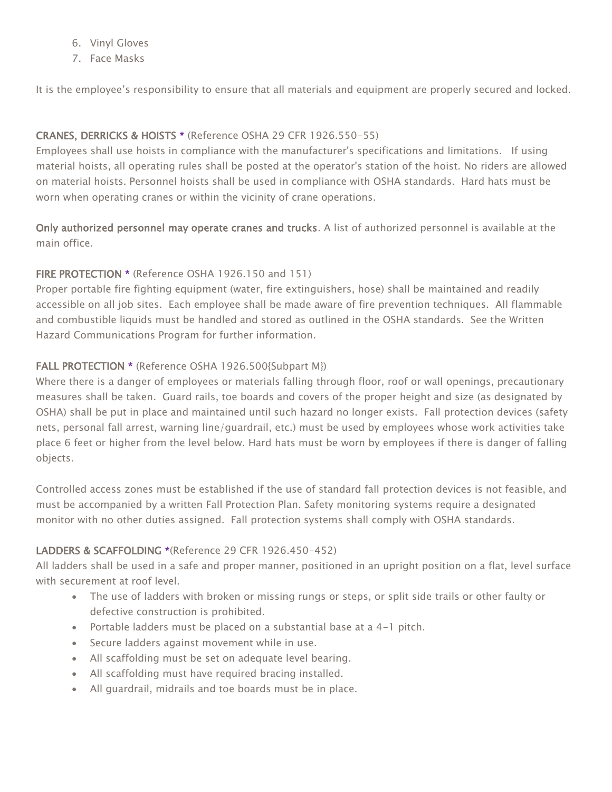- 6. Vinyl Gloves
- 7. Face Masks

It is the employee's responsibility to ensure that all materials and equipment are properly secured and locked.

## CRANES, DERRICKS & HOISTS \* (Reference OSHA 29 CFR 1926.550-55)

Employees shall use hoists in compliance with the manufacturer's specifications and limitations. If using material hoists, all operating rules shall be posted at the operator's station of the hoist. No riders are allowed on material hoists. Personnel hoists shall be used in compliance with OSHA standards. Hard hats must be worn when operating cranes or within the vicinity of crane operations.

Only authorized personnel may operate cranes and trucks. A list of authorized personnel is available at the main office.

## FIRE PROTECTION \* (Reference OSHA 1926.150 and 151)

Proper portable fire fighting equipment (water, fire extinguishers, hose) shall be maintained and readily accessible on all job sites. Each employee shall be made aware of fire prevention techniques. All flammable and combustible liquids must be handled and stored as outlined in the OSHA standards. See the Written Hazard Communications Program for further information.

## FALL PROTECTION \* (Reference OSHA 1926.500{Subpart M})

Where there is a danger of employees or materials falling through floor, roof or wall openings, precautionary measures shall be taken. Guard rails, toe boards and covers of the proper height and size (as designated by OSHA) shall be put in place and maintained until such hazard no longer exists. Fall protection devices (safety nets, personal fall arrest, warning line/guardrail, etc.) must be used by employees whose work activities take place 6 feet or higher from the level below. Hard hats must be worn by employees if there is danger of falling objects.

Controlled access zones must be established if the use of standard fall protection devices is not feasible, and must be accompanied by a written Fall Protection Plan. Safety monitoring systems require a designated monitor with no other duties assigned. Fall protection systems shall comply with OSHA standards.

#### LADDERS & SCAFFOLDING \*(Reference 29 CFR 1926.450-452)

All ladders shall be used in a safe and proper manner, positioned in an upright position on a flat, level surface with securement at roof level.

- The use of ladders with broken or missing rungs or steps, or split side trails or other faulty or defective construction is prohibited.
- Portable ladders must be placed on a substantial base at a 4-1 pitch.
- Secure ladders against movement while in use.
- All scaffolding must be set on adequate level bearing.
- All scaffolding must have required bracing installed.
- All guardrail, midrails and toe boards must be in place.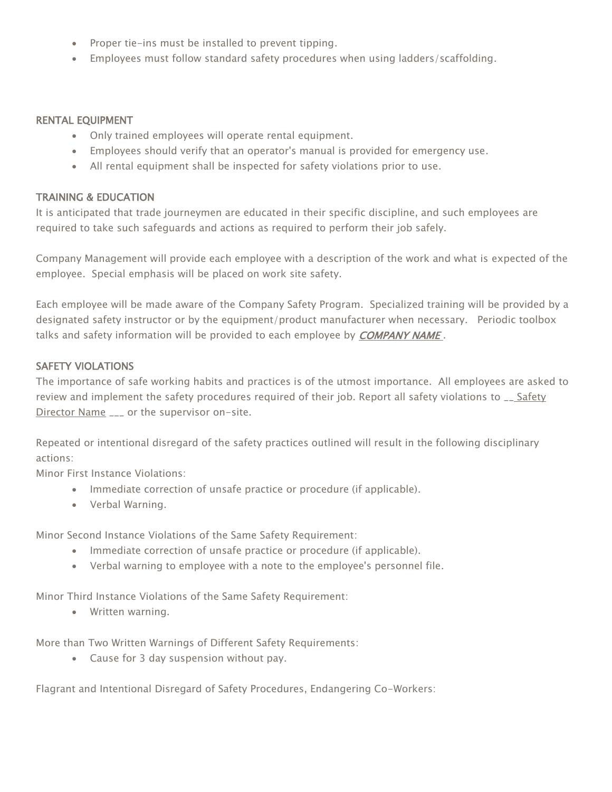- Proper tie-ins must be installed to prevent tipping.
- Employees must follow standard safety procedures when using ladders/scaffolding.

#### RENTAL EQUIPMENT

- Only trained employees will operate rental equipment.
- Employees should verify that an operator's manual is provided for emergency use.
- All rental equipment shall be inspected for safety violations prior to use.

#### TRAINING & EDUCATION

It is anticipated that trade journeymen are educated in their specific discipline, and such employees are required to take such safeguards and actions as required to perform their job safely.

Company Management will provide each employee with a description of the work and what is expected of the employee. Special emphasis will be placed on work site safety.

Each employee will be made aware of the Company Safety Program. Specialized training will be provided by a designated safety instructor or by the equipment/product manufacturer when necessary. Periodic toolbox talks and safety information will be provided to each employee by **COMPANY NAME**.

#### SAFETY VIOLATIONS

The importance of safe working habits and practices is of the utmost importance. All employees are asked to review and implement the safety procedures required of their job. Report all safety violations to \_\_ Safety Director Name \_\_\_ or the supervisor on-site.

Repeated or intentional disregard of the safety practices outlined will result in the following disciplinary actions:

Minor First Instance Violations:

- Immediate correction of unsafe practice or procedure (if applicable).
- Verbal Warning.

Minor Second Instance Violations of the Same Safety Requirement:

- Immediate correction of unsafe practice or procedure (if applicable).
- Verbal warning to employee with a note to the employee's personnel file.

Minor Third Instance Violations of the Same Safety Requirement:

• Written warning.

More than Two Written Warnings of Different Safety Requirements:

• Cause for 3 day suspension without pay.

Flagrant and Intentional Disregard of Safety Procedures, Endangering Co-Workers: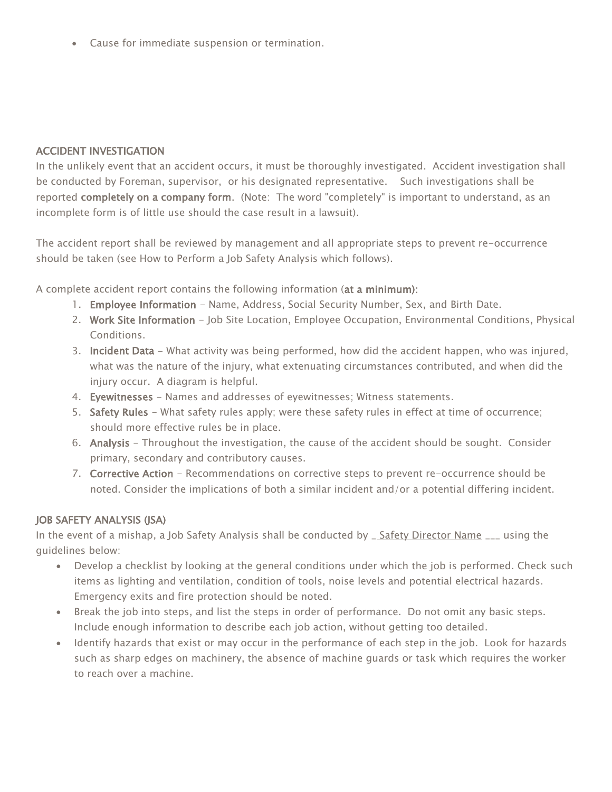• Cause for immediate suspension or termination.

## ACCIDENT INVESTIGATION

In the unlikely event that an accident occurs, it must be thoroughly investigated. Accident investigation shall be conducted by Foreman, supervisor, or his designated representative. Such investigations shall be reported completely on a company form. (Note: The word "completely" is important to understand, as an incomplete form is of little use should the case result in a lawsuit).

The accident report shall be reviewed by management and all appropriate steps to prevent re-occurrence should be taken (see How to Perform a Job Safety Analysis which follows).

A complete accident report contains the following information (at a minimum):

- 1. Employee Information Name, Address, Social Security Number, Sex, and Birth Date.
- 2. Work Site Information Job Site Location, Employee Occupation, Environmental Conditions, Physical Conditions.
- 3. Incident Data What activity was being performed, how did the accident happen, who was injured, what was the nature of the injury, what extenuating circumstances contributed, and when did the injury occur. A diagram is helpful.
- 4. Eyewitnesses Names and addresses of eyewitnesses; Witness statements.
- 5. Safety Rules What safety rules apply; were these safety rules in effect at time of occurrence; should more effective rules be in place.
- 6. Analysis Throughout the investigation, the cause of the accident should be sought. Consider primary, secondary and contributory causes.
- 7. Corrective Action Recommendations on corrective steps to prevent re-occurrence should be noted. Consider the implications of both a similar incident and/or a potential differing incident.

# JOB SAFETY ANALYSIS (JSA)

In the event of a mishap, a Job Safety Analysis shall be conducted by \_ Safety Director Name \_\_\_ using the guidelines below:

- Develop a checklist by looking at the general conditions under which the job is performed. Check such items as lighting and ventilation, condition of tools, noise levels and potential electrical hazards. Emergency exits and fire protection should be noted.
- Break the job into steps, and list the steps in order of performance. Do not omit any basic steps. Include enough information to describe each job action, without getting too detailed.
- Identify hazards that exist or may occur in the performance of each step in the job. Look for hazards such as sharp edges on machinery, the absence of machine guards or task which requires the worker to reach over a machine.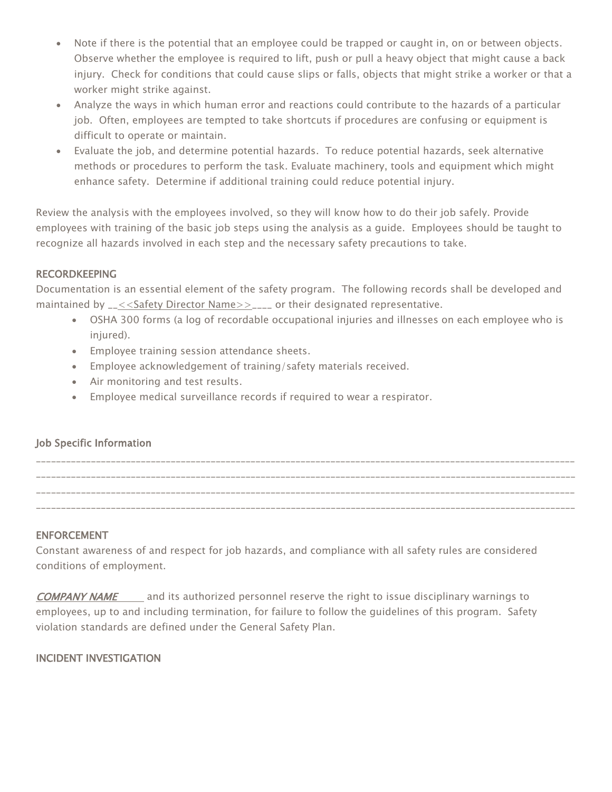- Note if there is the potential that an employee could be trapped or caught in, on or between objects. Observe whether the employee is required to lift, push or pull a heavy object that might cause a back injury. Check for conditions that could cause slips or falls, objects that might strike a worker or that a worker might strike against.
- Analyze the ways in which human error and reactions could contribute to the hazards of a particular job. Often, employees are tempted to take shortcuts if procedures are confusing or equipment is difficult to operate or maintain.
- Evaluate the job, and determine potential hazards. To reduce potential hazards, seek alternative methods or procedures to perform the task. Evaluate machinery, tools and equipment which might enhance safety. Determine if additional training could reduce potential injury.

Review the analysis with the employees involved, so they will know how to do their job safely. Provide employees with training of the basic job steps using the analysis as a guide. Employees should be taught to recognize all hazards involved in each step and the necessary safety precautions to take.

## RECORDKEEPING

Documentation is an essential element of the safety program. The following records shall be developed and maintained by \_\_<<Safety Director Name>>\_\_\_\_ or their designated representative.

- OSHA 300 forms (a log of recordable occupational injuries and illnesses on each employee who is injured).
- Employee training session attendance sheets.
- Employee acknowledgement of training/safety materials received.
- Air monitoring and test results.
- Employee medical surveillance records if required to wear a respirator.

# Job Specific Information

\_\_\_\_\_\_\_\_\_\_\_\_\_\_\_\_\_\_\_\_\_\_\_\_\_\_\_\_\_\_\_\_\_\_\_\_\_\_\_\_\_\_\_\_\_\_\_\_\_\_\_\_\_\_\_\_\_\_\_\_\_\_\_\_\_\_\_\_\_\_\_\_\_\_\_\_\_\_\_\_\_\_\_\_\_\_\_\_\_\_\_\_\_\_\_\_\_\_\_\_\_\_\_\_\_\_\_\_ \_\_\_\_\_\_\_\_\_\_\_\_\_\_\_\_\_\_\_\_\_\_\_\_\_\_\_\_\_\_\_\_\_\_\_\_\_\_\_\_\_\_\_\_\_\_\_\_\_\_\_\_\_\_\_\_\_\_\_\_\_\_\_\_\_\_\_\_\_\_\_\_\_\_\_\_\_\_\_\_\_\_\_\_\_\_\_\_\_\_\_\_\_\_\_\_\_\_\_\_\_\_\_\_\_\_\_\_ \_\_\_\_\_\_\_\_\_\_\_\_\_\_\_\_\_\_\_\_\_\_\_\_\_\_\_\_\_\_\_\_\_\_\_\_\_\_\_\_\_\_\_\_\_\_\_\_\_\_\_\_\_\_\_\_\_\_\_\_\_\_\_\_\_\_\_\_\_\_\_\_\_\_\_\_\_\_\_\_\_\_\_\_\_\_\_\_\_\_\_\_\_\_\_\_\_\_\_\_\_\_\_\_\_\_\_\_ \_\_\_\_\_\_\_\_\_\_\_\_\_\_\_\_\_\_\_\_\_\_\_\_\_\_\_\_\_\_\_\_\_\_\_\_\_\_\_\_\_\_\_\_\_\_\_\_\_\_\_\_\_\_\_\_\_\_\_\_\_\_\_\_\_\_\_\_\_\_\_\_\_\_\_\_\_\_\_\_\_\_\_\_\_\_\_\_\_\_\_\_\_\_\_\_\_\_\_\_\_\_\_\_\_\_\_\_

# ENFORCEMENT

Constant awareness of and respect for job hazards, and compliance with all safety rules are considered conditions of employment.

COMPANY NAME and its authorized personnel reserve the right to issue disciplinary warnings to employees, up to and including termination, for failure to follow the guidelines of this program. Safety violation standards are defined under the General Safety Plan.

# INCIDENT INVESTIGATION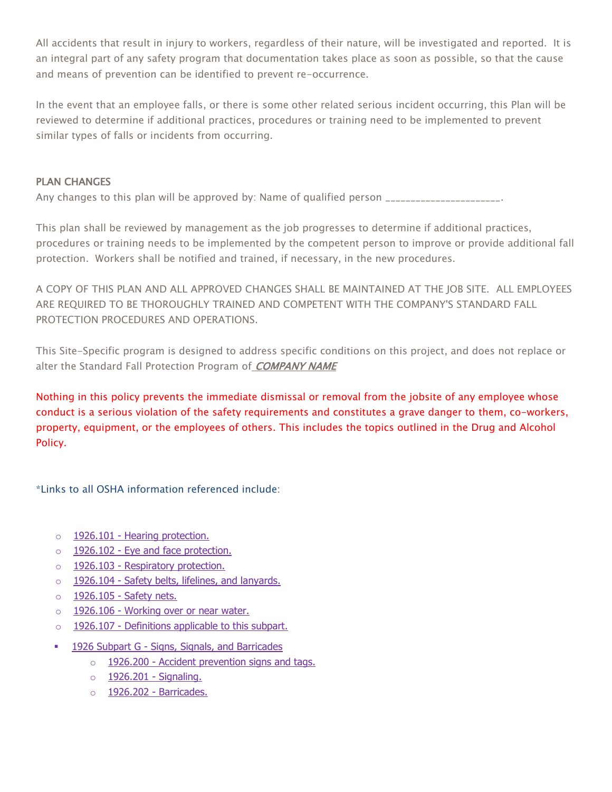All accidents that result in injury to workers, regardless of their nature, will be investigated and reported. It is an integral part of any safety program that documentation takes place as soon as possible, so that the cause and means of prevention can be identified to prevent re-occurrence.

In the event that an employee falls, or there is some other related serious incident occurring, this Plan will be reviewed to determine if additional practices, procedures or training need to be implemented to prevent similar types of falls or incidents from occurring.

## PLAN CHANGES

Any changes to this plan will be approved by: Name of qualified person \_\_\_\_\_\_\_\_\_\_\_\_\_\_\_\_\_\_\_\_\_\_\_.

This plan shall be reviewed by management as the job progresses to determine if additional practices, procedures or training needs to be implemented by the competent person to improve or provide additional fall protection. Workers shall be notified and trained, if necessary, in the new procedures.

A COPY OF THIS PLAN AND ALL APPROVED CHANGES SHALL BE MAINTAINED AT THE JOB SITE. ALL EMPLOYEES ARE REQUIRED TO BE THOROUGHLY TRAINED AND COMPETENT WITH THE COMPANY'S STANDARD FALL PROTECTION PROCEDURES AND OPERATIONS.

This Site-Specific program is designed to address specific conditions on this project, and does not replace or alter the Standard Fall Protection Program of COMPANY NAME

Nothing in this policy prevents the immediate dismissal or removal from the jobsite of any employee whose conduct is a serious violation of the safety requirements and constitutes a grave danger to them, co-workers, property, equipment, or the employees of others. This includes the topics outlined in the Drug and Alcohol Policy.

\*Links to all OSHA information referenced include:

- o 1926.101 [Hearing protection.](https://www.osha.gov/pls/oshaweb/owadisp.show_document?p_table=STANDARDS&p_id=10664)
- o 1926.102 [Eye and face protection.](https://www.osha.gov/pls/oshaweb/owadisp.show_document?p_table=STANDARDS&p_id=10665)
- o 1926.103 [Respiratory protection.](https://www.osha.gov/pls/oshaweb/owadisp.show_document?p_table=STANDARDS&p_id=10666)
- o 1926.104 [Safety belts, lifelines, and lanyards.](https://www.osha.gov/pls/oshaweb/owadisp.show_document?p_table=STANDARDS&p_id=10667)
- o 1926.105 [Safety nets.](https://www.osha.gov/pls/oshaweb/owadisp.show_document?p_table=STANDARDS&p_id=10668)
- o 1926.106 [Working over or near water.](https://www.osha.gov/pls/oshaweb/owadisp.show_document?p_table=STANDARDS&p_id=10669)
- o 1926.107 [Definitions applicable to this subpart.](https://www.osha.gov/pls/oshaweb/owadisp.show_document?p_table=STANDARDS&p_id=10670)
- **1926 Subpart G [Signs, Signals, and Barricades](https://www.osha.gov/pls/oshaweb/owadisp.show_document?p_table=STANDARDS&p_id=10911)** 
	- $\circ$  1926.200 [Accident prevention signs and tags.](https://www.osha.gov/pls/oshaweb/owadisp.show_document?p_table=STANDARDS&p_id=10681)
	- o [1926.201 -](https://www.osha.gov/pls/oshaweb/owadisp.show_document?p_table=STANDARDS&p_id=10682) Signaling.
	- o 1926.202 [Barricades.](https://www.osha.gov/pls/oshaweb/owadisp.show_document?p_table=STANDARDS&p_id=10683)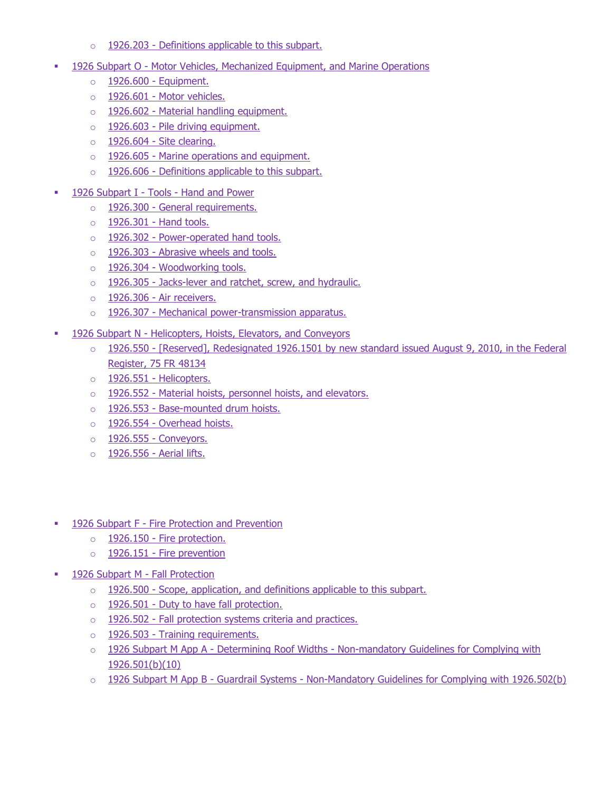- $\circ$  1926.203 [Definitions applicable to this subpart.](https://www.osha.gov/pls/oshaweb/owadisp.show_document?p_table=STANDARDS&p_id=10684)
- 1926 Subpart O [Motor Vehicles, Mechanized Equipment, and Marine Operations](https://www.osha.gov/pls/oshaweb/owadisp.show_document?p_table=STANDARDS&p_id=10929)
	- $\circ$  1926.600 [Equipment.](https://www.osha.gov/pls/oshaweb/owadisp.show_document?p_table=STANDARDS&p_id=10767)
	- $\circ$  1926.601 [Motor vehicles.](https://www.osha.gov/pls/oshaweb/owadisp.show_document?p_table=STANDARDS&p_id=10768)
	- $\circ$  1926.602 [Material handling equipment.](https://www.osha.gov/pls/oshaweb/owadisp.show_document?p_table=STANDARDS&p_id=10769)
	- $\circ$  1926.603 [Pile driving equipment.](https://www.osha.gov/pls/oshaweb/owadisp.show_document?p_table=STANDARDS&p_id=10770)
	- $\circ$  1926.604 [Site clearing.](https://www.osha.gov/pls/oshaweb/owadisp.show_document?p_table=STANDARDS&p_id=10771)
	- $\circ$  1926.605 [Marine operations and equipment.](https://www.osha.gov/pls/oshaweb/owadisp.show_document?p_table=STANDARDS&p_id=10772)
	- $\circ$  1926.606 [Definitions applicable to this subpart.](https://www.osha.gov/pls/oshaweb/owadisp.show_document?p_table=STANDARDS&p_id=10773)
- 1926 Subpart I Tools [Hand and Power](https://www.osha.gov/pls/oshaweb/owadisp.show_document?p_table=STANDARDS&p_id=10913)
	- o 1926.300 [General requirements.](https://www.osha.gov/pls/oshaweb/owadisp.show_document?p_table=STANDARDS&p_id=10688)
	- $\circ$  1926.301 [Hand tools.](https://www.osha.gov/pls/oshaweb/owadisp.show_document?p_table=STANDARDS&p_id=10689)
	- o 1926.302 [Power-operated hand tools.](https://www.osha.gov/pls/oshaweb/owadisp.show_document?p_table=STANDARDS&p_id=10690)
	- $\circ$  1926.303 [Abrasive wheels and tools.](https://www.osha.gov/pls/oshaweb/owadisp.show_document?p_table=STANDARDS&p_id=10691)
	- o 1926.304 [Woodworking tools.](https://www.osha.gov/pls/oshaweb/owadisp.show_document?p_table=STANDARDS&p_id=10692)
	- $\circ$  1926.305 [Jacks-lever and ratchet, screw, and hydraulic.](https://www.osha.gov/pls/oshaweb/owadisp.show_document?p_table=STANDARDS&p_id=10693)
	- $\circ$  1926.306 [Air receivers.](https://www.osha.gov/pls/oshaweb/owadisp.show_document?p_table=STANDARDS&p_id=10694)
	- o 1926.307 [Mechanical power-transmission apparatus.](https://www.osha.gov/pls/oshaweb/owadisp.show_document?p_table=STANDARDS&p_id=10695)
- 1926 Subpart N [Helicopters, Hoists, Elevators, and Conveyors](https://www.osha.gov/pls/oshaweb/owadisp.show_document?p_table=STANDARDS&p_id=10928)
	- o 1926.550 [Reserved], Redesignated 1926.1501 by new standard issued August 9, 2010, in the Federal [Register, 75 FR 48134](https://www.osha.gov/pls/oshaweb/owadisp.show_document?p_table=STANDARDS&p_id=10760)
	- $\circ$  1926.551 [Helicopters.](https://www.osha.gov/pls/oshaweb/owadisp.show_document?p_table=STANDARDS&p_id=10761)
	- o 1926.552 [Material hoists, personnel hoists, and elevators.](https://www.osha.gov/pls/oshaweb/owadisp.show_document?p_table=STANDARDS&p_id=10762)
	- o 1926.553 [Base-mounted drum hoists.](https://www.osha.gov/pls/oshaweb/owadisp.show_document?p_table=STANDARDS&p_id=10763)
	- o 1926.554 [Overhead hoists.](https://www.osha.gov/pls/oshaweb/owadisp.show_document?p_table=STANDARDS&p_id=10764)
	- $\circ$  1926.555 [Conveyors.](https://www.osha.gov/pls/oshaweb/owadisp.show_document?p_table=STANDARDS&p_id=10765)
	- $\circ$  [1926.556 -](https://www.osha.gov/pls/oshaweb/owadisp.show_document?p_table=STANDARDS&p_id=10766) Aerial lifts.
- **1926 Subpart F [Fire Protection and Prevention](https://www.osha.gov/pls/oshaweb/owadisp.show_document?p_table=STANDARDS&p_id=10910)** 
	- o 1926.150 [Fire protection.](https://www.osha.gov/pls/oshaweb/owadisp.show_document?p_table=STANDARDS&p_id=10671)
	- $\circ$  1926.151 [Fire prevention](https://www.osha.gov/pls/oshaweb/owadisp.show_document?p_table=STANDARDS&p_id=10672)
- [1926 Subpart M -](https://www.osha.gov/pls/oshaweb/owadisp.show_document?p_table=STANDARDS&p_id=10922) Fall Protection
	- o 1926.500 [Scope, application, and definitions applicable to this subpart.](https://www.osha.gov/pls/oshaweb/owadisp.show_document?p_table=STANDARDS&p_id=10756)
	- o 1926.501 [Duty to have fall protection.](https://www.osha.gov/pls/oshaweb/owadisp.show_document?p_table=STANDARDS&p_id=10757)
	- o 1926.502 [Fall protection systems criteria and practices.](https://www.osha.gov/pls/oshaweb/owadisp.show_document?p_table=STANDARDS&p_id=10758)
	- o 1926.503 [Training requirements.](https://www.osha.gov/pls/oshaweb/owadisp.show_document?p_table=STANDARDS&p_id=10759)
	- $\circ$  1926 Subpart M App A Determining Roof Widths Non-mandatory Guidelines for Complying with [1926.501\(b\)\(10\)](https://www.osha.gov/pls/oshaweb/owadisp.show_document?p_table=STANDARDS&p_id=10923)
	- o 1926 Subpart M App B Guardrail Systems [Non-Mandatory Guidelines for Complying with 1926.502\(b\)](https://www.osha.gov/pls/oshaweb/owadisp.show_document?p_table=STANDARDS&p_id=10924)